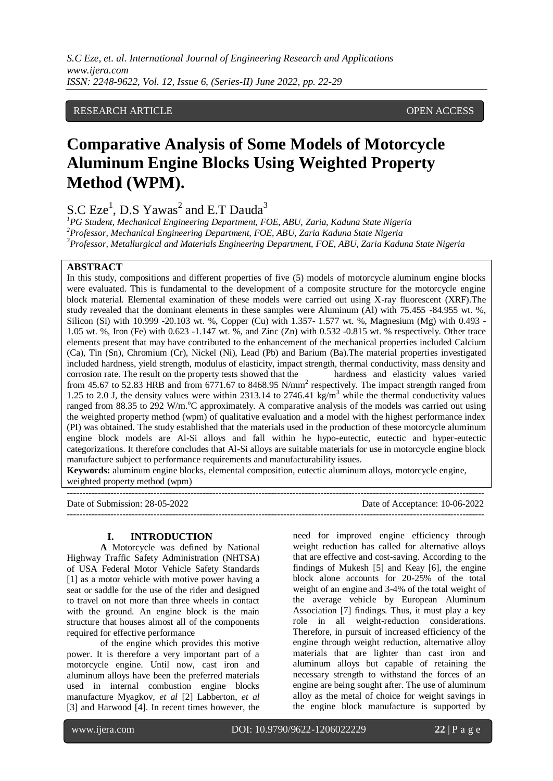#### RESEARCH ARTICLE OPEN ACCESS

# **Comparative Analysis of Some Models of Motorcycle Aluminum Engine Blocks Using Weighted Property Method (WPM).**

S.C  $Eze<sup>1</sup>$ , D.S Yawas<sup>2</sup> and E.T Dauda<sup>3</sup>

*<sup>1</sup>PG Student, Mechanical Engineering Department, FOE, ABU, Zaria, Kaduna State Nigeria <sup>2</sup>Professor, Mechanical Engineering Department, FOE, ABU, Zaria Kaduna State Nigeria <sup>3</sup>Professor, Metallurgical and Materials Engineering Department, FOE, ABU, Zaria Kaduna State Nigeria*

#### **ABSTRACT**

In this study, compositions and different properties of five (5) models of motorcycle aluminum engine blocks were evaluated. This is fundamental to the development of a composite structure for the motorcycle engine block material. Elemental examination of these models were carried out using X-ray fluorescent (XRF).The study revealed that the dominant elements in these samples were Aluminum (Al) with 75.455 -84.955 wt. %, Silicon (Si) with 10.999 -20.103 wt. %, Copper (Cu) with 1.357- 1.577 wt. %, Magnesium (Mg) with 0.493 -1.05 wt. %, Iron (Fe) with 0.623 -1.147 wt. %, and Zinc (Zn) with 0.532 -0.815 wt. % respectively. Other trace elements present that may have contributed to the enhancement of the mechanical properties included Calcium (Ca), Tin (Sn), Chromium (Cr), Nickel (Ni), Lead (Pb) and Barium (Ba).The material properties investigated included hardness, yield strength, modulus of elasticity, impact strength, thermal conductivity, mass density and corrosion rate. The result on the property tests showed that the hardness and elasticity values varied from 45.67 to 52.83 HRB and from 6771.67 to 8468.95 N/mm<sup>2</sup> respectively. The impact strength ranged from 1.25 to 2.0 J, the density values were within 2313.14 to 2746.41 kg/m<sup>3</sup> while the thermal conductivity values ranged from 88.35 to 292 W/m.<sup>o</sup>C approximately. A comparative analysis of the models was carried out using the weighted property method (wpm) of qualitative evaluation and a model with the highest performance index (PI) was obtained. The study established that the materials used in the production of these motorcycle aluminum engine block models are Al-Si alloys and fall within he hypo-eutectic, eutectic and hyper-eutectic categorizations. It therefore concludes that Al-Si alloys are suitable materials for use in motorcycle engine block manufacture subject to performance requirements and manufacturability issues.

**Keywords:** aluminum engine blocks, elemental composition, eutectic aluminum alloys, motorcycle engine, weighted property method (wpm)

---------------------------------------------------------------------------------------------------------------------------------------

Date of Submission: 28-05-2022 Date of Acceptance: 10-06-2022

---------------------------------------------------------------------------------------------------------------------------------------

#### **I. INTRODUCTION**

**A** Motorcycle was defined by [National](https://www.law.cornell.edu/cfr/text/49/chapter-V)  [Highway Traffic Safety Administration \(NHTSA\)](https://www.law.cornell.edu/cfr/text/49/chapter-V)  of USA [Federal Motor Vehicle Safety Standards](https://www.law.cornell.edu/cfr/text/49/chapter-V) [\[1\] a](https://www.law.cornell.edu/cfr/text/49/chapter-V)s a motor vehicle with motive power having a seat or saddle for the use of the rider and designed to travel on not more than three wheels in contact with the ground. An engine block is the main structure that houses almost all of the components required for effective performance

of the engine which provides this motive power. It is therefore a very important part of a motorcycle engine. Until now, cast iron and aluminum alloys have been the preferred materials used in internal combustion engine blocks manufacture Myagkov, *et al* [2] Labberton, *et al*  [3] and Harwood [4]. In recent times however, the

need for improved engine efficiency through weight reduction has called for alternative alloys that are effective and cost-saving. According to the findings of Mukesh [5] and Keay [6], the engine block alone accounts for 20-25% of the total weight of an engine and 3-4% of the total weight of the average vehicle by European Aluminum Association [7] findings. Thus, it must play a key role in all weight-reduction considerations. Therefore, in pursuit of increased efficiency of the engine through weight reduction, alternative alloy materials that are lighter than cast iron and aluminum alloys but capable of retaining the necessary strength to withstand the forces of an engine are being sought after. The use of aluminum alloy as the metal of choice for weight savings in the engine block manufacture is supported by

www.ijera.com DOI: 10.9790/9622-1206022229 **22** | P a g e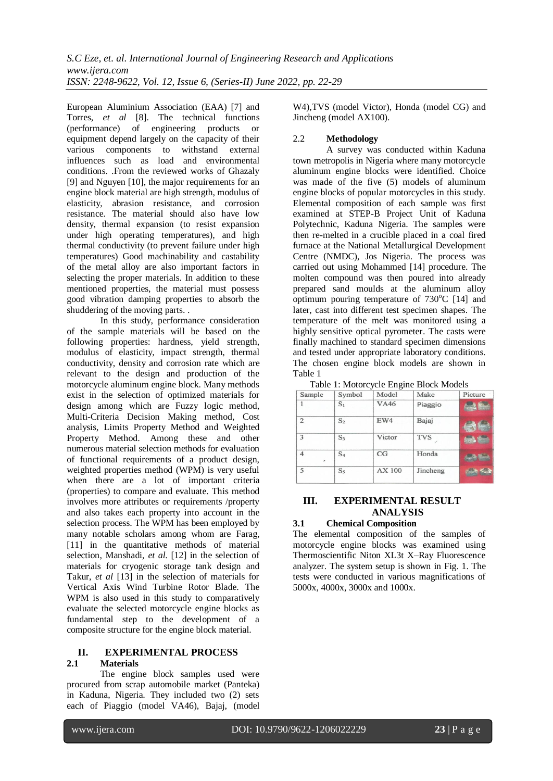European Aluminium Association (EAA) [7] and Torres, *et al* [8]. The technical functions (performance) of engineering products or equipment depend largely on the capacity of their various components to withstand external influences such as load and environmental conditions. .From the reviewed works of Ghazaly [9] and Nguyen [10], the major requirements for an engine block material are high strength, modulus of elasticity, abrasion resistance, and corrosion resistance. The material should also have low density, thermal expansion (to resist expansion under high operating temperatures), and high thermal conductivity (to prevent failure under high temperatures) Good machinability and castability of the metal alloy are also important factors in selecting the proper materials. In addition to these mentioned properties, the material must possess good vibration damping properties to absorb the shuddering of the moving parts. .

In this study, performance consideration of the sample materials will be based on the following properties: hardness, yield strength, modulus of elasticity, impact strength, thermal conductivity, density and corrosion rate which are relevant to the design and production of the motorcycle aluminum engine block. Many methods exist in the selection of optimized materials for design among which are Fuzzy logic method, Multi-Criteria Decision Making method, Cost analysis, Limits Property Method and Weighted Property Method. Among these and other numerous material selection methods for evaluation of functional requirements of a product design, weighted properties method (WPM) is very useful when there are a lot of important criteria (properties) to compare and evaluate. This method involves more attributes or requirements /property and also takes each property into account in the selection process. The WPM has been employed by many notable scholars among whom are Farag, [11] in the quantitative methods of material selection, Manshadi, *et al*. [12] in the selection of materials for cryogenic storage tank design and Takur, *et al* [13] in the selection of materials for Vertical Axis Wind Turbine Rotor Blade. The WPM is also used in this study to comparatively evaluate the selected motorcycle engine blocks as fundamental step to the development of a composite structure for the engine block material.

# **II. EXPERIMENTAL PROCESS**

#### **2.1 Materials**

The engine block samples used were procured from scrap automobile market (Panteka) in Kaduna, Nigeria. They included two (2) sets each of Piaggio (model VA46), Bajaj, (model

W4),TVS (model Victor), Honda (model CG) and Jincheng (model AX100).

#### 2.2 **Methodology**

A survey was conducted within Kaduna town metropolis in Nigeria where many motorcycle aluminum engine blocks were identified. Choice was made of the five (5) models of aluminum engine blocks of popular motorcycles in this study. Elemental composition of each sample was first examined at STEP-B Project Unit of Kaduna Polytechnic, Kaduna Nigeria. The samples were then re-melted in a crucible placed in a coal fired furnace at the National Metallurgical Development Centre (NMDC), Jos Nigeria. The process was carried out using Mohammed [14] procedure. The molten compound was then poured into already prepared sand moulds at the aluminum alloy optimum pouring temperature of  $730^{\circ}$ C [14] and later, cast into different test specimen shapes. The temperature of the melt was monitored using a highly sensitive optical pyrometer. The casts were finally machined to standard specimen dimensions and tested under appropriate laboratory conditions. The chosen engine block models are shown in Table 1

| Sample                        | Symbol         | Model       | Make       | Picture       |
|-------------------------------|----------------|-------------|------------|---------------|
|                               | $S_1$          | <b>VA46</b> | Piaggio    |               |
| $\overline{2}$                | S <sub>2</sub> | EW4         | Bajaj      |               |
| 3                             | $S_3$          | Victor      | <b>TVS</b> | <b>Symbol</b> |
| $\overline{\mathcal{A}}$<br>٠ | $S_4$          | CG          | Honda      |               |
| 5                             | S <sub>5</sub> | AX 100      | Jincheng   |               |

Table 1: Motorcycle Engine Block Models

# **III. EXPERIMENTAL RESULT ANALYSIS**

#### **3.1 Chemical Composition**

The elemental composition of the samples of motorcycle engine blocks was examined using Thermoscientific Niton XL3t X–Ray Fluorescence analyzer. The system setup is shown in Fig. 1. The tests were conducted in various magnifications of 5000x, 4000x, 3000x and 1000x.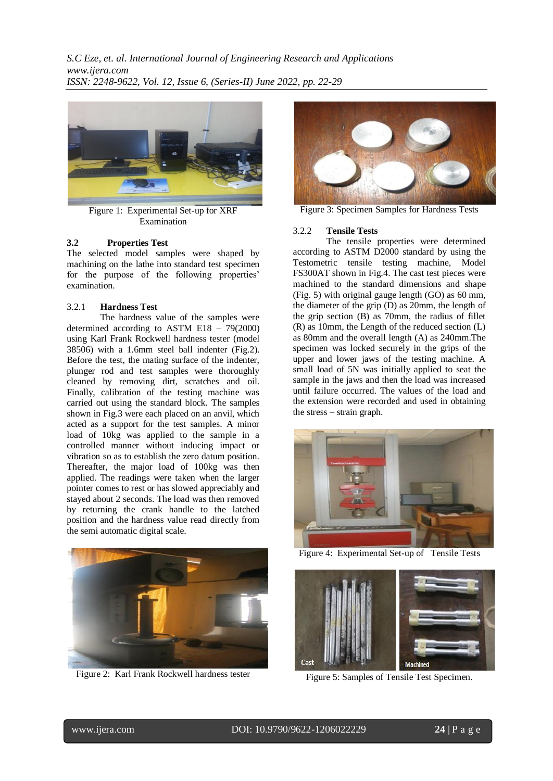*S.C Eze, et. al. International Journal of Engineering Research and Applications www.ijera.com ISSN: 2248-9622, Vol. 12, Issue 6, (Series-II) June 2022, pp. 22-29*



Figure 1: Experimental Set-up for XRF Examination

#### **3.2 Properties Test**

The selected model samples were shaped by machining on the lathe into standard test specimen for the purpose of the following properties' examination.

#### 3.2.1 **Hardness Test**

The hardness value of the samples were determined according to ASTM E18 – 79(2000) using Karl Frank Rockwell hardness tester (model 38506) with a 1.6mm steel ball indenter (Fig.2). Before the test, the mating surface of the indenter, plunger rod and test samples were thoroughly cleaned by removing dirt, scratches and oil. Finally, calibration of the testing machine was carried out using the standard block. The samples shown in Fig.3 were each placed on an anvil, which acted as a support for the test samples. A minor load of 10kg was applied to the sample in a controlled manner without inducing impact or vibration so as to establish the zero datum position. Thereafter, the major load of 100kg was then applied. The readings were taken when the larger pointer comes to rest or has slowed appreciably and stayed about 2 seconds. The load was then removed by returning the crank handle to the latched position and the hardness value read directly from the semi automatic digital scale.



Figure 2: Karl Frank Rockwell hardness tester



Figure 3: Specimen Samples for Hardness Tests

#### 3.2.2 **Tensile Tests**

The tensile properties were determined according to ASTM D2000 standard by using the Testometric tensile testing machine, Model FS300AT shown in Fig.4. The cast test pieces were machined to the standard dimensions and shape (Fig. 5) with original gauge length (GO) as 60 mm, the diameter of the grip (D) as 20mm, the length of the grip section (B) as 70mm, the radius of fillet (R) as 10mm, the Length of the reduced section (L) as 80mm and the overall length (A) as 240mm.The specimen was locked securely in the grips of the upper and lower jaws of the testing machine. A small load of 5N was initially applied to seat the sample in the jaws and then the load was increased until failure occurred. The values of the load and the extension were recorded and used in obtaining the stress – strain graph.



Figure 4: Experimental Set-up of Tensile Tests



Figure 5: Samples of Tensile Test Specimen.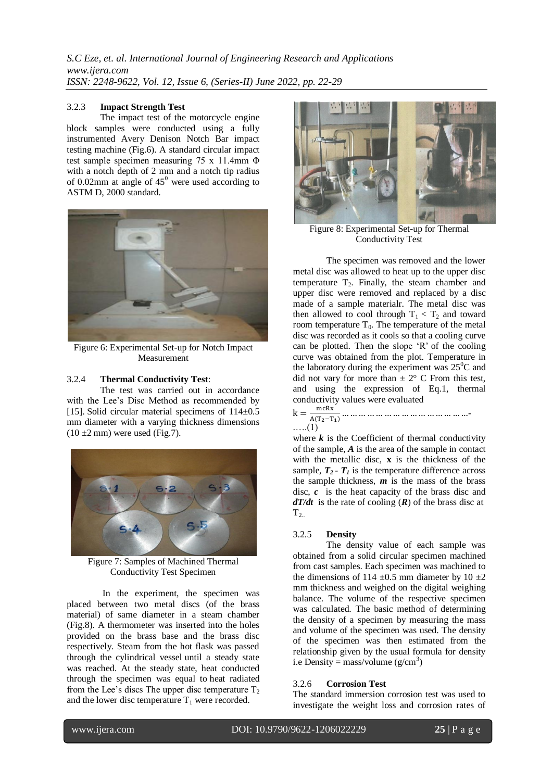### 3.2.3 **Impact Strength Test**

The impact test of the motorcycle engine block samples were conducted using a fully instrumented Avery Denison Notch Bar impact testing machine (Fig.6). A standard circular impact test sample specimen measuring 75 x 11.4mm Φ with a notch depth of 2 mm and a notch tip radius of 0.02mm at angle of  $45^{\circ}$  were used according to ASTM D, 2000 standard.



Figure 6: Experimental Set-up for Notch Impact Measurement

#### 3.2.4 **Thermal Conductivity Test**:

The test was carried out in accordance with the Lee's Disc Method as recommended by [15]. Solid circular material specimens of  $114\pm0.5$ mm diameter with a varying thickness dimensions  $(10 \pm 2 \text{ mm})$  were used (Fig.7).



Figure 7: Samples of Machined Thermal Conductivity Test Specimen

In the experiment, the specimen was placed between two metal discs (of the brass material) of same diameter in a steam chamber (Fig.8). A thermometer was inserted into the holes provided on the brass base and the brass disc respectively. Steam from the hot flask was passed through the cylindrical vessel until a steady state was reached. At the steady state, heat conducted through the specimen was equal to heat radiated from the Lee's discs The upper disc temperature  $T_2$ and the lower disc temperature  $T_1$  were recorded.



Figure 8: Experimental Set-up for Thermal Conductivity Test

The specimen was removed and the lower metal disc was allowed to heat up to the upper disc temperature  $T_2$ . Finally, the steam chamber and upper disc were removed and replaced by a disc made of a sample materialr. The metal disc was then allowed to cool through  $T_1 < T_2$  and toward room temperature  $T_0$ . The temperature of the metal disc was recorded as it cools so that a cooling curve can be plotted. Then the slope 'R' of the cooling curve was obtained from the plot. Temperature in the laboratory during the experiment was  $25^{\circ}$ C and did not vary for more than  $\pm 2^{\circ}$  C From this test, and using the expression of Eq.1, thermal conductivity values were evaluated

 $k = \frac{m}{\sqrt{n}}$  $A(T_2-T_1)$  - .….(1)

where  $k$  is the Coefficient of thermal conductivity of the sample, *A* is the area of the sample in contact with the metallic disc, **x** is the thickness of the sample,  $T_2$  **-**  $T_1$  is the temperature difference across the sample thickness, *m* is the mass of the brass disc, *c* is the heat capacity of the brass disc and *dT/dt* is the rate of cooling (*R*) of the brass disc at  $T<sub>2</sub>$ 

## 3.2.5 **Density**

The density value of each sample was obtained from a solid circular specimen machined from cast samples. Each specimen was machined to the dimensions of 114  $\pm$ 0.5 mm diameter by 10  $\pm$ 2 mm thickness and weighed on the digital weighing balance. The volume of the respective specimen was calculated. The basic method of determining the density of a specimen by measuring the mass and volume of the specimen was used. The density of the specimen was then estimated from the relationship given by the usual formula for density i.e Density = mass/volume  $(g/cm^3)$ 

## 3.2.6 **Corrosion Test**

The standard immersion corrosion test was used to investigate the weight loss and corrosion rates of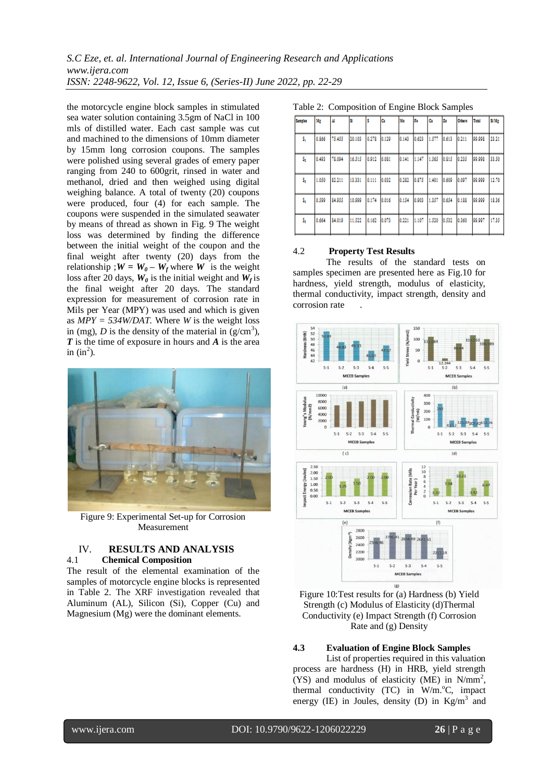the motorcycle engine block samples in stimulated sea water solution containing 3.5gm of NaCl in 100 mls of distilled water. Each cast sample was cut and machined to the dimensions of 10mm diameter by 15mm long corrosion coupons. The samples were polished using several grades of emery paper ranging from 240 to 600grit, rinsed in water and methanol, dried and then weighed using digital weighing balance. A total of twenty (20) coupons were produced, four (4) for each sample. The coupons were suspended in the simulated seawater by means of thread as shown in Fig. 9 The weight loss was determined by finding the difference between the initial weight of the coupon and the final weight after twenty (20) days from the relationship ;  $W = W_0 - W_f$  where *W* is the weight loss after 20 days,  $W_0$  is the initial weight and  $W_f$  is the final weight after 20 days. The standard expression for measurement of corrosion rate in Mils per Year (MPY) was used and which is given as *MPY = 534W/DAT.* Where *W* is the weight loss in (mg), *D* is the density of the material in  $(g/cm<sup>3</sup>)$ , *T* is the time of exposure in hours and *A* is the area in  $(in^2)$ .



Figure 9: Experimental Set-up for Corrosion Measurement

#### IV. **RESULTS AND ANALYSIS** 4.1 **Chemical Composition**

The result of the elemental examination of the samples of motorcycle engine blocks is represented in Table 2. The XRF investigation revealed that Aluminum (AL), Silicon (Si), Copper (Cu) and Magnesium (Mg) were the dominant elements.

| Samples | Mg    | Ш      |        | в     | a     | Ma    | F.    | ۵ı    | Zn    | Odwrs | Total  | <b>SIMP</b> |
|---------|-------|--------|--------|-------|-------|-------|-------|-------|-------|-------|--------|-------------|
| s,      | 0.866 | 75,455 | 20.103 | 0.278 | 0.129 | 0.143 | 0.623 | 1.577 | 0.613 | 0.211 | 99.998 | 23.21       |
| s,      | 0.493 | 78.094 | 16.515 | 0.912 | 0.081 | 0.141 | 1.147 | 1.565 | 0.815 | 0.235 | 99.998 | 33.50       |
| s,      | 1.050 | 82.211 | 13.331 | 0.111 | 0.032 | 0.282 | 0.875 | 1,401 | 0.609 | 0.097 | 99.999 | 12.70       |
| s,      | 0.599 | 84.955 | 10.999 | 0.174 | 0.016 | 0.154 | 0.903 | 1.357 | 0.654 | 0.188 | 99.999 | 18.36       |
| s,      | 0.664 | 84.019 | 11.522 | 0.162 | 0.073 | 0.221 | 1.107 | 1.520 | 0.532 | 0.360 | 99.997 | 17.35       |

Table 2: Composition of Engine Block Samples

## 4.2 **Property Test Results**

The results of the standard tests on samples specimen are presented here as Fig.10 for hardness, yield strength, modulus of elasticity, thermal conductivity, impact strength, density and corrosion rate





#### **4.3 Evaluation of Engine Block Samples**

List of properties required in this valuation process are hardness (H) in HRB, yield strength (YS) and modulus of elasticity (ME) in  $N/mm^2$ , thermal conductivity  $(TC)$  in W/m.<sup>o</sup>C, impact energy (IE) in Joules, density (D) in  $Kg/m<sup>3</sup>$  and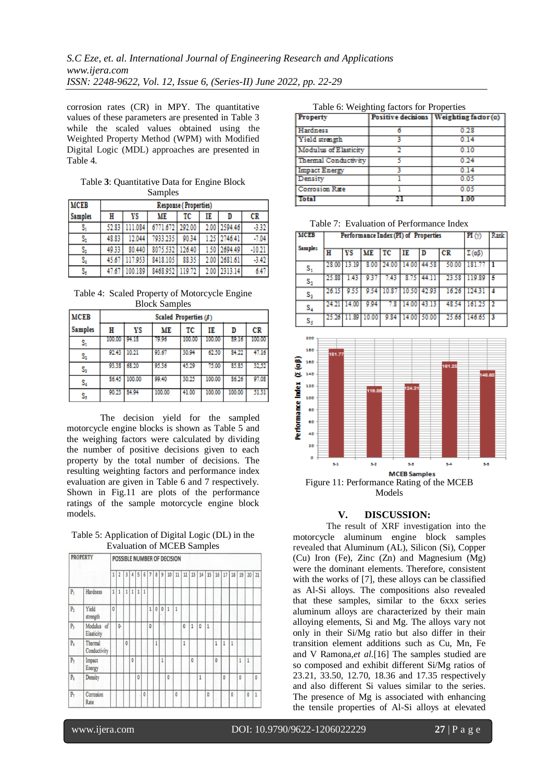corrosion rates (CR) in MPY. The quantitative values of these parameters are presented in Table 3 while the scaled values obtained using the Weighted Property Method (WPM) with Modified Digital Logic (MDL) approaches are presented in Table 4.

Table **3**: Quantitative Data for Engine Block Samples

| <b>MCEB</b>    | Response (Properties) |         |                 |        |    |              |          |  |  |  |  |  |  |
|----------------|-----------------------|---------|-----------------|--------|----|--------------|----------|--|--|--|--|--|--|
| <b>Samples</b> | Н                     | ΥS      | ME              | тс     | IE | D            | CR       |  |  |  |  |  |  |
| s,             | 52.83                 | 111.084 | 6771.672 292.00 |        |    | 2.00 2594.46 | $-3.32$  |  |  |  |  |  |  |
| s,             | 48.83                 | 12.044  | 7933.235        | 90.34  |    | 1.25 2746.41 | $-7.04$  |  |  |  |  |  |  |
| s,             | 49.33                 | 80.440  | 8075.532        | 126.40 |    | 1.50 2694.49 | $-10.21$ |  |  |  |  |  |  |
| s,             | 45.67                 | 117.953 | 8418.105        | 88.35  |    | 2.00 2681.61 | $-3.42$  |  |  |  |  |  |  |
| s,             | 47.67                 | 100.189 | 8468.952 119.72 |        |    | 2.00 2313.14 | 6.47     |  |  |  |  |  |  |

Table 4: Scaled Property of Motorcycle Engine Block Samples

| <b>MCEB</b>    | Scaled Properties $(\beta)$ |             |        |        |        |        |        |  |  |  |  |  |  |  |
|----------------|-----------------------------|-------------|--------|--------|--------|--------|--------|--|--|--|--|--|--|--|
| <b>Samples</b> | н                           | ΥS          | ME     | ТC     | IE     | D      | CR     |  |  |  |  |  |  |  |
| s,             | 100.00                      | - 94.18     | 79.96  | 100.00 | 100.00 | 89.16  | 100.00 |  |  |  |  |  |  |  |
| s,             | 92.43                       | 10.21       | 93.67  | 30.94  | 62.50  | 84.22  | 47.16  |  |  |  |  |  |  |  |
| s,             |                             | 93.38 68.20 | 95.36  | 45.29  | 75.00  | 85.85  | 32.52  |  |  |  |  |  |  |  |
| s,             | 86.45                       | 100.00      | 99.40  | 30.25  | 100.00 | 86.26  | 97.08  |  |  |  |  |  |  |  |
| s,             | 90.23                       | \$4.94      | 100.00 | 41.00  | 100.00 | 100.00 | 51.31  |  |  |  |  |  |  |  |

The decision yield for the sampled motorcycle engine blocks is shown as Table 5 and the weighing factors were calculated by dividing the number of positive decisions given to each property by the total number of decisions. The resulting weighting factors and performance index evaluation are given in Table 6 and 7 respectively. Shown in Fig.11 are plots of the performance ratings of the sample motorcycle engine block models.

Table 5: Application of Digital Logic (DL) in the Evaluation of MCEB Samples

|                | <b>PROPERTY</b>          |              |                |                |              |              |              |                |              |                |    | POSSIBLE NUMBER OF DECISION |              |              |              |    |              |              |              |              |              |              |
|----------------|--------------------------|--------------|----------------|----------------|--------------|--------------|--------------|----------------|--------------|----------------|----|-----------------------------|--------------|--------------|--------------|----|--------------|--------------|--------------|--------------|--------------|--------------|
|                |                          | $\mathbf{1}$ | $\overline{2}$ | $\overline{3}$ | 4            | 5            | 6            | $\overline{7}$ | 8            | $\overline{9}$ | 10 | 11                          | 12           | 13           | 14           | 15 | 16           | 17           | 18           | 19           | 20           | 21           |
| $P_1$          | Hardness                 | $\mathbf{1}$ | $\mathbf{1}$   | $\mathbf{1}$   | $\mathbf{1}$ | $\mathbf{1}$ | $\mathbf{1}$ |                |              |                |    |                             |              |              |              |    |              |              |              |              |              |              |
| P <sub>2</sub> | Yield<br>strength        | $\mathbf{0}$ |                |                |              |              |              | $\mathbf{1}$   | $\mathbf{0}$ | $\mathbf{0}$   | 1  | 1                           |              |              |              |    |              |              |              |              |              |              |
| P <sub>3</sub> | Modulus of<br>Elasticity |              | 0-             |                |              |              |              | $\mathbf{0}$   |              |                |    |                             | $\mathbf{0}$ | 1            | $\mathbf{0}$ | 1  |              |              |              |              |              |              |
| $P_4$          | Thermal<br>Conductivity  |              |                | $\overline{0}$ |              |              |              |                | $\mathbf{1}$ |                |    |                             | $\mathbf{1}$ |              |              |    | $\mathbf{1}$ | 1            | 1            |              |              |              |
| P <sub>s</sub> | Impact<br>Energy         |              |                |                | $\mathbf{0}$ |              |              |                |              | $\mathbf{1}$   |    |                             |              | $\mathbf{0}$ |              |    | $\mathbf{0}$ |              |              | 1            | $\mathbf{1}$ |              |
| $P_6$          | Density                  |              |                |                |              | $\mathbf{0}$ |              |                |              |                | 0  |                             |              |              | 1            |    |              | $\mathbf{0}$ |              | $\mathbf{0}$ |              | 0            |
| $P_7$          | Corrosion<br>Rate        |              |                |                |              |              | $\mathbf{0}$ |                |              |                |    | 0                           |              |              |              | 0  |              |              | $\mathbf{0}$ |              | 0            | $\mathbf{1}$ |

Table 6: Weighting factors for Properties

| Property              | Positive decisions   Weighting factor $(\alpha)$ |
|-----------------------|--------------------------------------------------|
| <b>Hardness</b>       | 0.28                                             |
| Yield strength        | 0.14                                             |
| Modulus of Elasticity | 0.10                                             |
| Thermal Conductivity  | 0.24                                             |
| <b>Impact Energy</b>  | 0.14                                             |
| Density               | 0.05                                             |
| Corrosion Rate        | 0.05                                             |
| <b>Total</b>          |                                                  |

Table 7: Evaluation of Performance Index

| <b>MCEB</b>    | Performance Index (PI) of Properties | $\overline{\mathbf{H}(\gamma)}$ | Rank      |       |             |       |         |               |    |
|----------------|--------------------------------------|---------------------------------|-----------|-------|-------------|-------|---------|---------------|----|
| <b>Samples</b> | н                                    | νs                              | <b>ME</b> | TC    | IE          |       | $_{CR}$ | $\Sigma$ (aß) |    |
| $\mathbf{s}_i$ | 28.00                                | 13.19                           | 8.00      | 24.00 | 14.00       | 44.58 | 50.00   | 181.77        |    |
| $\mathtt{S}_2$ | 25.88                                | 1.43                            | 9.37      | 7.43  | 8.75        | 44.11 | 23.58   | 119.89        |    |
| $S_3$          | 26.15                                | 9.55                            | 9.54      | 10.87 | 10.50 42.93 |       | 16.26   | 124.31        |    |
| $S_4$          | 24.21                                | 14.00                           | 9.94      | 7.8   | 14.00       | 43.13 | 48.54   | 161.25        | 12 |
| s,             | 25.26                                | 11.89                           | 0.00      | 9.84  | 14.00       | 50.00 | 25.66   | 146.65        | 13 |



Models

## **V. DISCUSSION:**

The result of XRF investigation into the motorcycle aluminum engine block samples revealed that Aluminum (AL), Silicon (Si), Copper (Cu) Iron (Fe), Zinc (Zn) and Magnesium (Mg) were the dominant elements. Therefore, consistent with the works of [7], these alloys can be classified as Al-Si alloys. The compositions also revealed that these samples, similar to the 6xxx series aluminum alloys are characterized by their main alloying elements, Si and Mg. The alloys vary not only in their Si/Mg ratio but also differ in their transition element additions such as Cu, Mn, Fe and V [Ramona,](https://www.ncbi.nlm.nih.gov/pubmed/?term=Prillhofer%20R%5BAuthor%5D&cauthor=true&cauthor_uid=28788119)*et al*.[16] The samples studied are so composed and exhibit different Si/Mg ratios of 23.21, 33.50, 12.70, 18.36 and 17.35 respectively and also different Si values similar to the series. The presence of Mg is associated with enhancing the tensile properties of Al-Si alloys at elevated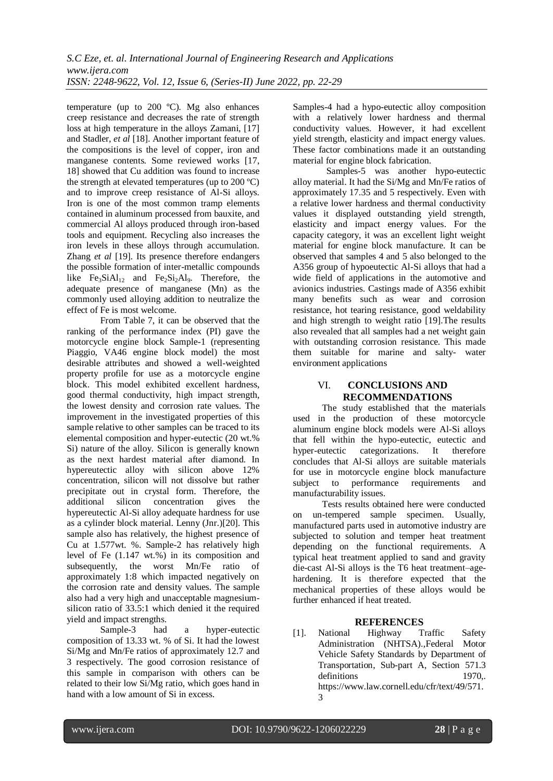temperature (up to 200 ºC). Mg also enhances creep resistance and decreases the rate of strength loss at high temperature in the alloys Zamani, [17] and Stadler, *et al* [18]. Another important feature of the compositions is the level of copper, iron and manganese contents. Some reviewed works [17, 18] showed that Cu addition was found to increase the strength at elevated temperatures (up to 200 ºC) and to improve creep resistance of Al-Si alloys. Iron is one of the most common tramp elements contained in aluminum processed from bauxite, and commercial Al alloys produced through iron-based tools and equipment. Recycling also increases the iron levels in these alloys through accumulation. Zhang *et al* [19]. Its presence therefore endangers the possible formation of inter-metallic compounds like  $Fe<sub>3</sub>SiAl<sub>12</sub>$  and  $Fe<sub>2</sub>Si<sub>2</sub>Al<sub>9</sub>$ . Therefore, the adequate presence of manganese (Mn) as the commonly used alloying addition to neutralize the effect of Fe is most welcome.

From Table 7, it can be observed that the ranking of the performance index (PI) gave the motorcycle engine block Sample-1 (representing Piaggio, VA46 engine block model) the most desirable attributes and showed a well-weighted property profile for use as a motorcycle engine block. This model exhibited excellent hardness, good thermal conductivity, high impact strength, the lowest density and corrosion rate values. The improvement in the investigated properties of this sample relative to other samples can be traced to its elemental composition and hyper-eutectic (20 wt.% Si) nature of the alloy. Silicon is generally known as the next hardest material after diamond. In hypereutectic alloy with silicon above 12% concentration, silicon will not dissolve but rather precipitate out in crystal form. Therefore, the additional silicon concentration gives the hypereutectic Al-Si alloy adequate hardness for use as a cylinder block material. Lenny (Jnr.)[20]. This sample also has relatively, the highest presence of Cu at 1.577wt. %. Sample-2 has relatively high level of Fe (1.147 wt.%) in its composition and subsequently, the worst Mn/Fe ratio of approximately 1:8 which impacted negatively on the corrosion rate and density values. The sample also had a very high and unacceptable magnesiumsilicon ratio of 33.5:1 which denied it the required yield and impact strengths.

Sample-3 had a hyper-eutectic composition of 13.33 wt. % of Si. It had the lowest Si/Mg and Mn/Fe ratios of approximately 12.7 and 3 respectively. The good corrosion resistance of this sample in comparison with others can be related to their low Si/Mg ratio, which goes hand in hand with a low amount of Si in excess.

Samples-4 had a hypo-eutectic alloy composition with a relatively lower hardness and thermal conductivity values. However, it had excellent yield strength, elasticity and impact energy values. These factor combinations made it an outstanding material for engine block fabrication.

Samples-5 was another hypo-eutectic alloy material. It had the Si/Mg and Mn/Fe ratios of approximately 17.35 and 5 respectively. Even with a relative lower hardness and thermal conductivity values it displayed outstanding yield strength, elasticity and impact energy values. For the capacity category, it was an excellent light weight material for engine block manufacture. It can be observed that samples 4 and 5 also belonged to the A356 group of hypoeutectic Al-Si alloys that had a wide field of applications in the automotive and avionics industries. Castings made of A356 exhibit many benefits such as wear and corrosion resistance, hot tearing resistance, good weldability and high strength to weight ratio [19].The results also revealed that all samples had a net weight gain with outstanding corrosion resistance. This made them suitable for marine and salty- water environment applications

# VI. **CONCLUSIONS AND RECOMMENDATIONS**

The study established that the materials used in the production of these motorcycle aluminum engine block models were Al-Si alloys that fell within the hypo-eutectic, eutectic and hyper-eutectic categorizations. It therefore concludes that Al-Si alloys are suitable materials for use in motorcycle engine block manufacture subject to performance requirements and manufacturability issues.

Tests results obtained here were conducted on un-tempered sample specimen. Usually, manufactured parts used in automotive industry are subjected to solution and temper heat treatment depending on the functional requirements. A typical heat treatment applied to sand and gravity die-cast Al-Si alloys is the T6 heat treatment–agehardening. It is therefore expected that the mechanical properties of these alloys would be further enhanced if heat treated.

## **REFERENCES**

[1]. [National Highway Traffic Safety](https://www.law.cornell.edu/cfr/text/49/chapter-V)  [Administration \(NHTSA\).,Federal Motor](https://www.law.cornell.edu/cfr/text/49/chapter-V)  [Vehicle Safety Standards](https://www.law.cornell.edu/cfr/text/49/chapter-V) by Department of [Transportation,](https://www.law.cornell.edu/cfr/text/49/chapter-V) Sub-part A, [Section 571.3](S)  definitions 1970, [https://www.law.cornell.edu/cfr/text/49/571.](https://www.law.cornell.edu/cfr/text/49/571.3) [3](https://www.law.cornell.edu/cfr/text/49/571.3)